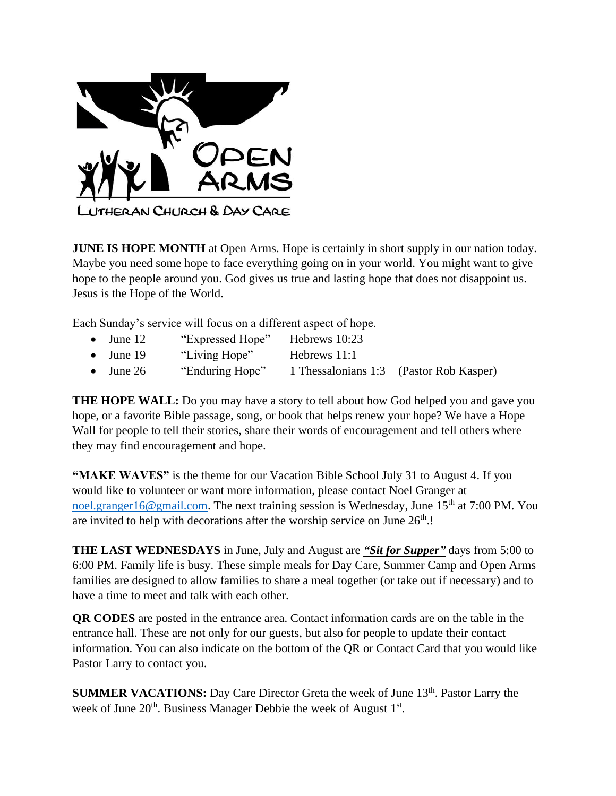

**JUNE IS HOPE MONTH** at Open Arms. Hope is certainly in short supply in our nation today. Maybe you need some hope to face everything going on in your world. You might want to give hope to the people around you. God gives us true and lasting hope that does not disappoint us. Jesus is the Hope of the World.

Each Sunday's service will focus on a different aspect of hope.

| $\bullet$ June 12 | "Expressed Hope" | Hebrews 10:23 |                                         |
|-------------------|------------------|---------------|-----------------------------------------|
| $\bullet$ June 19 | "Living Hope"    | Hebrews 11:1  |                                         |
| $\bullet$ June 26 | "Enduring Hope"  |               | 1 Thessalonians 1:3 (Pastor Rob Kasper) |

**THE HOPE WALL:** Do you may have a story to tell about how God helped you and gave you hope, or a favorite Bible passage, song, or book that helps renew your hope? We have a Hope Wall for people to tell their stories, share their words of encouragement and tell others where they may find encouragement and hope.

**"MAKE WAVES"** is the theme for our Vacation Bible School July 31 to August 4. If you would like to volunteer or want more information, please contact Noel Granger at [noel.granger16@gmail.com.](mailto:noel.granger16@gmail.com) The next training session is Wednesday, June  $15<sup>th</sup>$  at 7:00 PM. You are invited to help with decorations after the worship service on June  $26<sup>th</sup>$ .!

**THE LAST WEDNESDAYS** in June, July and August are *"Sit for Supper"* days from 5:00 to 6:00 PM. Family life is busy. These simple meals for Day Care, Summer Camp and Open Arms families are designed to allow families to share a meal together (or take out if necessary) and to have a time to meet and talk with each other.

**QR CODES** are posted in the entrance area. Contact information cards are on the table in the entrance hall. These are not only for our guests, but also for people to update their contact information. You can also indicate on the bottom of the QR or Contact Card that you would like Pastor Larry to contact you.

**SUMMER VACATIONS:** Day Care Director Greta the week of June 13<sup>th</sup>. Pastor Larry the week of June  $20<sup>th</sup>$ . Business Manager Debbie the week of August  $1<sup>st</sup>$ .